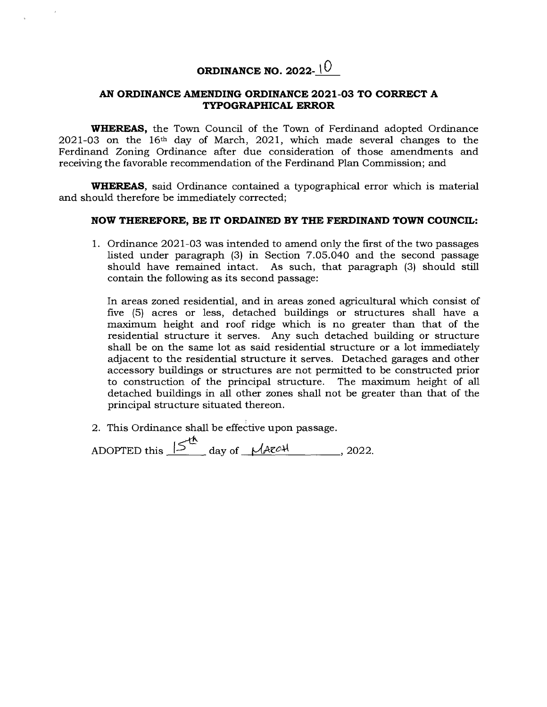## **ORDINANCE NO. 2022-**  $\sqrt{0}$

## **AN ORDINANCE AMENDING ORDINANCE 2021-03 TO CORRECT A TYPOGRAPHICAL ERROR**

**WHEREAS,** the Town Council of the Town of Ferdinand adopted Ordinance  $2021-03$  on the 16<sup>th</sup> day of March, 2021, which made several changes to the Ferdinand Zoning Ordinance after due consideration of those amendments and receiving the favorable recommendation of the Ferdinand Plan Commission; and

**WHEREAS,** said Ordinance contained a typographical error which is material and should therefore be immediately corrected;

## **NOW THEREFORE, BE IT ORDAINED BY THE FERDINAND TOWN COUNCIL:**

1. Ordinance 2021-03 was intended to amend only the first of the two passages listed under paragraph (3) in Section 7.05.040 and the second passage should have remained intact. As such, that paragraph (3) should still contain the following as its second passage:

In areas zoned residential, and in areas zoned agricultural which consist of five (5) acres or less, detached buildings or structures shall have a maximum height and roof ridge which is no greater than that of the residential structure it serves. Any such detached building or structure shall be on the same lot as said residential structure or a lot immediately adjacent to the residential structure it serves. Detached garages and other accessory buildings or structures are not permitted to be constructed prior to construction of the principal structure. The maximum height of all detached buildings in all other zones shall not be greater than that of the principal structure situated thereon.

2. This Ordinance shall be effective upon passage.

| ADOPTED this $15 \text{ day of } \mathcal{M}$ |  | , 2022. |
|-----------------------------------------------|--|---------|
|                                               |  |         |